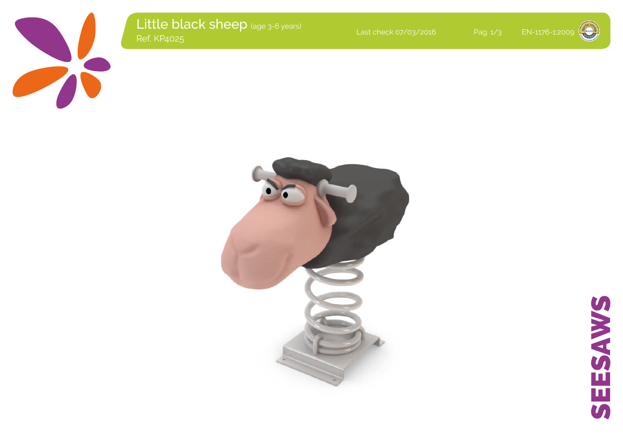

Little black sheep (age 3-6 years)<br>Ref. KP4025 Last check 07/03/2016 Pag. 1/3 EN-1176-1:2009<br>Ref. KP4025





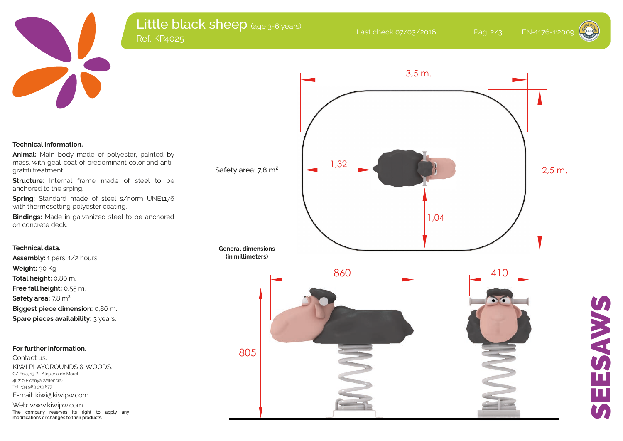

# Little black sheep (age 3-6 years) د المستخدم المستخدم المستخدم المستخدم المستخدم المستخدم المستخدم المستخدم المستخدم المستخدم المستخدم المستخدم ا<br>المستخدم المستخدم المستخدم المستخدم المستخدم المستخدم المستخدم المستخدم المستخدم المستخدم المستخدم المستخدم ا

### **Technical information.**

**Animal:** Main body made of polyester, painted by mass, with geal-coat of predominant color and antigraffiti treatment.

**Structure**: Internal frame made of steel to be anchored to the srping.

**Spring:** Standard made of steel s/norm UNE1176 with thermosetting polyester coating.

**Bindings:** Made in galvanized steel to be anchored on concrete deck.

## **Technical data.**

**Assembly:** 1 pers. 1/2 hours. **Weight:** 30 Kg. **Total height:** 0,80 m. **Free fall height:** 0,55 m. **Safety area:** 7,8 m². **Biggest piece dimension:** 0,86 m. **Spare pieces availability:** 3 years.

#### **For further information.**

Contact us. KIWI PLAYGROUNDS & WOODS. C/ Foia, 13 P.I. Alqueria de Moret 46210 Picanya (Valencia) Tel. +34 963 313 677 E-mail: kiwi@kiwipw.com

Web: www.kiwipw.com **The company reserves its right to apply any modifications or changes to their products.**



#### **General dimensions (in millimeters)**



# SEESAWS ESAWS  $\mathbf{u}$